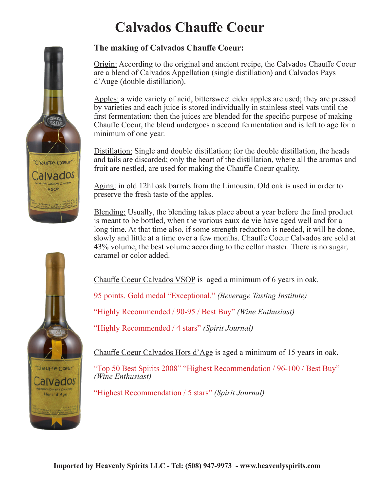## **Calvados Chauffe Coeur**

#### **The making of Calvados Chauffe Coeur:**

Origin: According to the original and ancient recipe, the Calvados Chauffe Coeur are a blend of Calvados Appellation (single distillation) and Calvados Pays d'Auge (double distillation).

Apples: a wide variety of acid, bittersweet cider apples are used; they are pressed by varieties and each juice is stored individually in stainless steel vats until the first fermentation; then the juices are blended for the specific purpose of making Chauffe Coeur, the blend undergoes a second fermentation and is left to age for a minimum of one year.

Distillation: Single and double distillation; for the double distillation, the heads and tails are discarded; only the heart of the distillation, where all the aromas and fruit are nestled, are used for making the Chauffe Coeur quality.

Aging: in old 12hl oak barrels from the Limousin. Old oak is used in order to preserve the fresh taste of the apples.

Blending: Usually, the blending takes place about a year before the final product is meant to be bottled, when the various eaux de vie have aged well and for a long time. At that time also, if some strength reduction is needed, it will be done, slowly and little at a time over a few months. Chauffe Coeur Calvados are sold at 43% volume, the best volume according to the cellar master. There is no sugar, caramel or color added.

Chauffe Coeur Calvados VSOP is aged a minimum of 6 years in oak.

95 points. Gold medal "Exceptional." *(Beverage Tasting Institute)* 

"Highly Recommended / 90-95 / Best Buy" *(Wine Enthusiast)*

"Highly Recommended / 4 stars" *(Spirit Journal)* 

Chauffe Coeur Calvados Hors d'Age is aged a minimum of 15 years in oak.

"Top 50 Best Spirits 2008" "Highest Recommendation / 96-100 / Best Buy" *(Wine Enthusiast)*

"Highest Recommendation / 5 stars" *(Spirit Journal)*